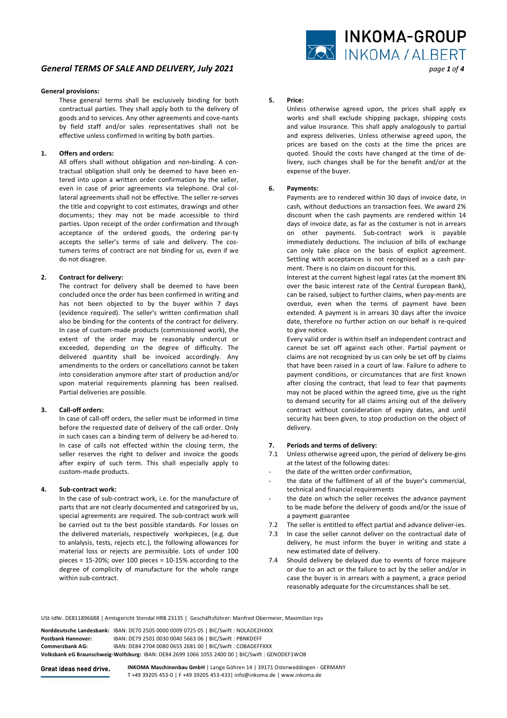# *General TERMS OF SALE AND DELIVERY, July 2021 page 1 of 4*

## **General provisions:**

These general terms shall be exclusively binding for both contractual parties. They shall apply both to the delivery of goods and to services. Any other agreements and cove-nants by field staff and/or sales representatives shall not be effective unless confirmed in writing by both parties.

## **1. Offers and orders:**

 All offers shall without obligation and non-binding. A contractual obligation shall only be deemed to have been entered into upon a written order confirmation by the seller, even in case of prior agreements via telephone. Oral collateral agreements shall not be effective. The seller re-serves the title and copyright to cost estimates, drawings and other documents; they may not be made accessible to third parties. Upon receipt of the order confirmation and through acceptance of the ordered goods, the ordering par-ty accepts the seller's terms of sale and delivery. The costumers terms of contract are not binding for us, even if we do not disagree.

## **2. Contract for delivery:**

 The contract for delivery shall be deemed to have been concluded once the order has been confirmed in writing and has not been objected to by the buyer within 7 days (evidence required). The seller's written confirmation shall also be binding for the contents of the contract for delivery. In case of custom-made products (commissioned work), the extent of the order may be reasonably undercut or exceeded, depending on the degree of difficulty. The delivered quantity shall be invoiced accordingly. Any amendments to the orders or cancellations cannot be taken into consideration anymore after start of production and/or upon material requirements planning has been realised. Partial deliveries are possible.

## **3. Call-off orders:**

 In case of call-off orders, the seller must be informed in time before the requested date of delivery of the call order. Only in such cases can a binding term of delivery be ad-hered to. In case of calls not effected within the closing term, the seller reserves the right to deliver and invoice the goods after expiry of such term. This shall especially apply to custom-made products.

## **4. Sub-contract work:**

 In the case of sub-contract work, i.e. for the manufacture of parts that are not clearly documented and categorized by us, special agreements are required. The sub-contract work will be carried out to the best possible standards. For losses on the delivered materials, respectively workpieces, (e.g. due to anlalysis, tests, rejects etc.), the following allowances for material loss or rejects are permissible. Lots of under 100 pieces = 15-20%; over 100 pieces = 10-15% according to the degree of complicity of manufacture for the whole range within sub-contract.



## **5. Price:**

Unless otherwise agreed upon, the prices shall apply ex works and shall exclude shipping package, shipping costs and value insurance. This shall apply analogously to partial and express deliveries. Unless otherwise agreed upon, the prices are based on the costs at the time the prices are quoted. Should the costs have changed at the time of delivery, such changes shall be for the benefit and/or at the expense of the buyer.

#### **6. Payments:**

 Payments are to rendered within 30 days of invoice date, in cash, without deductions an transaction fees. We award 2% discount when the cash payments are rendered within 14 days of invoice date, as far as the costumer is not in arrears on other payments. Sub-contract work is payable immediately deductions. The inclusion of bills of exchange can only take place on the basis of explicit agreement. Settling with acceptances is not recognized as a cash payment. There is no claim on discount for this.

 Interest at the current highest legal rates (at the moment 8% over the basic interest rate of the Central European Bank), can be raised, subject to further claims, when pay-ments are overdue, even when the terms of payment have been extended. A payment is in arrears 30 days after the invoice date, therefore no further action on our behalf is re-quired to give notice.

 Every valid order is within itself an independent contract and cannot be set off against each other. Partial payment or claims are not recognized by us can only be set off by claims that have been raised in a court of law. Failure to adhere to payment conditions, or circumstances that are first known after closing the contract, that lead to fear that payments may not be placed within the agreed time, give us the right to demand security for all claims arising out of the delivery contract without consideration of expiry dates, and until security has been given, to stop production on the object of delivery.

## **7. Periods and terms of delivery:**

- 7.1 Unless otherwise agreed upon, the period of delivery be-gins at the latest of the following dates:
- the date of the written order confirmation,
- the date of the fulfilment of all of the buyer's commercial, technical and financial requirements
- the date on which the seller receives the advance payment to be made before the delivery of goods and/or the issue of a payment guarantee
- 7.2 The seller is entitled to effect partial and advance deliver-ies.
- 7.3 In case the seller cannot deliver on the contractual date of delivery, he must inform the buyer in writing and state a new estimated date of delivery.
- 7.4 Should delivery be delayed due to events of force majeure or due to an act or the failure to act by the seller and/or in case the buyer is in arrears with a payment, a grace period reasonably adequate for the circumstances shall be set.

USt-IdNr. DE811896688 | Amtsgericht Stendal HRB 23135 | Geschäftsführer: Manfred Obermeier, Maximilian Irps

|                    | Norddeutsche Landesbank: IBAN: DE70 2505 0000 0009 0725 05   BIC/Swift : NOLADE2HXXX             |
|--------------------|--------------------------------------------------------------------------------------------------|
| Postbank Hannover: | IBAN: DE79 2501 0030 0040 5663 06   BIC/Swift: PBNKDEFF                                          |
| Commerzbank AG:    | IBAN: DE84 2704 0080 0655 2681 00   BIC/Swift: COBADEFFXXX                                       |
|                    | Volksbank eG Braunschweig-Wolfsburg: IBAN: DE84 2699 1066 1055 2400 00   BIC/Swift : GENODEF1WOB |

Great ideas need drive.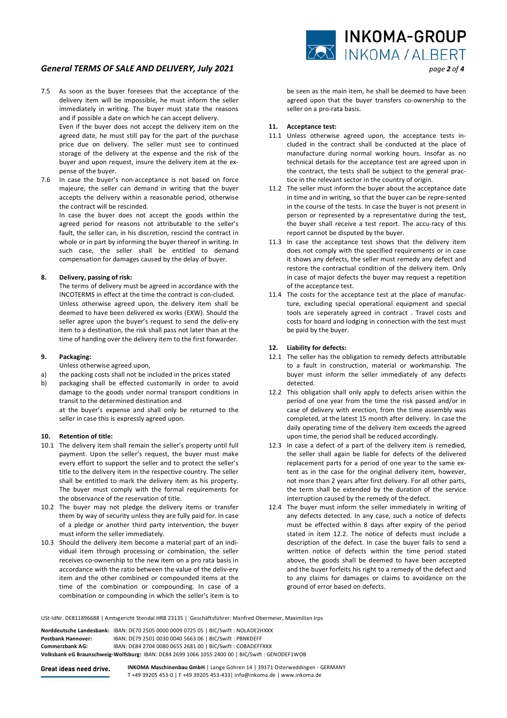# *General TERMS OF SALE AND DELIVERY, July 2021 page 2 of 4*

7.5 As soon as the buyer foresees that the acceptance of the delivery item will be impossible, he must inform the seller immediately in writing. The buyer must state the reasons and if possible a date on which he can accept delivery. Even if the buyer does not accept the delivery item on the agreed date, he must still pay for the part of the purchase

price due on delivery. The seller must see to continued storage of the delivery at the expense and the risk of the buyer and upon request, insure the delivery item at the expense of the buyer.

7.6 In case the buyer's non-acceptance is not based on force majeure, the seller can demand in writing that the buyer accepts the delivery within a reasonable period, otherwise the contract will be rescinded.

 In case the buyer does not accept the goods within the agreed period for reasons not attributable to the seller's fault, the seller can, in his discretion, rescind the contract in whole or in part by informing the buyer thereof in writing. In such case, the seller shall be entitled to demand compensation for damages caused by the delay of buyer.

## **8. Delivery, passing of risk:**

 The terms of delivery must be agreed in accordance with the INCOTERMS in effect at the time the contract is con-cluded. Unless otherwise agreed upon, the delivery item shall be deemed to have been delivered ex works (EXW). Should the seller agree upon the buyer's request to send the deliv-ery item to a destination, the risk shall pass not later than at the time of handing over the delivery item to the first forwarder.

## **9. Packaging:**

Unless otherwise agreed upon,

- a) the packing costs shall not be included in the prices stated
- b) packaging shall be effected customarily in order to avoid damage to the goods under normal transport conditions in transit to the determined destination and

 at the buyer's expense and shall only be returned to the seller in case this is expressly agreed upon.

## **10. Retention of title:**

- 10.1 The delivery item shall remain the seller's property until full payment. Upon the seller's request, the buyer must make every effort to support the seller and to protect the seller's title to the delivery item in the respective country. The seller shall be entitled to mark the delivery item as his property. The buyer must comply with the formal requirements for the observance of the reservation of title.
- 10.2 The buyer may not pledge the delivery items or transfer them by way of security unless they are fully paid for. In case of a pledge or another third party intervention, the buyer must inform the seller immediately.
- 10.3 Should the delivery item become a material part of an individual item through processing or combination, the seller receives co-ownership to the new item on a pro rata basis in accordance with the ratio between the value of the deliv-ery item and the other combined or compounded items at the time of the combination or compounding. In case of a combination or compounding in which the seller's item is to



be seen as the main item, he shall be deemed to have been agreed upon that the buyer transfers co-ownership to the seller on a pro-rata basis.

## **11. Acceptance test:**

- 11.1 Unless otherwise agreed upon, the acceptance tests included in the contract shall be conducted at the place of manufacture during normal working hours. Insofar as no technical details for the acceptance test are agreed upon in the contract, the tests shall be subject to the general practice in the relevant sector in the country of origin.
- 11.2 The seller must inform the buyer about the acceptance date in time and in writing, so that the buyer can be repre-sented in the course of the tests. In case the buyer is not present in person or represented by a representative during the test, the buyer shall receive a test report. The accu-racy of this report cannot be disputed by the buyer.
- 11.3 In case the acceptance test shows that the delivery item does not comply with the specified requirements or in case it shows any defects, the seller must remedy any defect and restore the contractual condition of the delivery item. Only in case of major defects the buyer may request a repetition of the acceptance test.
- 11.4 The costs for the acceptance test at the place of manufacture, excluding special operational equipment and special tools are seperately agreed in contract . Travel costs and costs for board and lodging in connection with the test must be paid by the buyer.

## **12. Liability for defects:**

- 12.1 The seller has the obligation to remedy defects attributable to a fault in construction, material or workmanship. The buyer must inform the seller immediately of any defects detected.
- 12.2 This obligation shall only apply to defects arisen within the period of one year from the time the risk passed and/or in case of delivery with erection, from the time assembly was completed, at the latest 15 month after delivery. In case the daily operating time of the delivery item exceeds the agreed upon time, the period shall be reduced accordingly.
- 12.3 In case a defect of a part of the delivery item is remedied, the seller shall again be liable for defects of the delivered replacement parts for a period of one year to the same extent as in the case for the original delivery item, however, not more than 2 years after first delivery. For all other parts, the term shall be extended by the duration of the service interruption caused by the remedy of the defect.
- 12.4 The buyer must inform the seller immediately in writing of any defects detected. In any case, such a notice of defects must be effected within 8 days after expiry of the period stated in item 12.2. The notice of defects must include a description of the defect. In case the buyer fails to send a written notice of defects within the time period stated above, the goods shall be deemed to have been accepted and the buyer forfeits his right to a remedy of the defect and to any claims for damages or claims to avoidance on the ground of error based on defects.

USt-IdNr. DE811896688 | Amtsgericht Stendal HRB 23135 | Geschäftsführer: Manfred Obermeier, Maximilian Irps

|                    | Norddeutsche Landesbank: IBAN: DE70 2505 0000 0009 0725 05   BIC/Swift : NOLADE2HXXX             |  |
|--------------------|--------------------------------------------------------------------------------------------------|--|
| Postbank Hannover: | IBAN: DE79 2501 0030 0040 5663 06   BIC/Swift: PBNKDEFF                                          |  |
| Commerzbank AG:    | IBAN: DE84 2704 0080 0655 2681 00   BIC/Swift: COBADEFFXXX                                       |  |
|                    | Volksbank eG Braunschweig-Wolfsburg: IBAN: DE84 2699 1066 1055 2400 00   BIC/Swift : GENODEF1WOB |  |
|                    |                                                                                                  |  |

Great ideas need drive.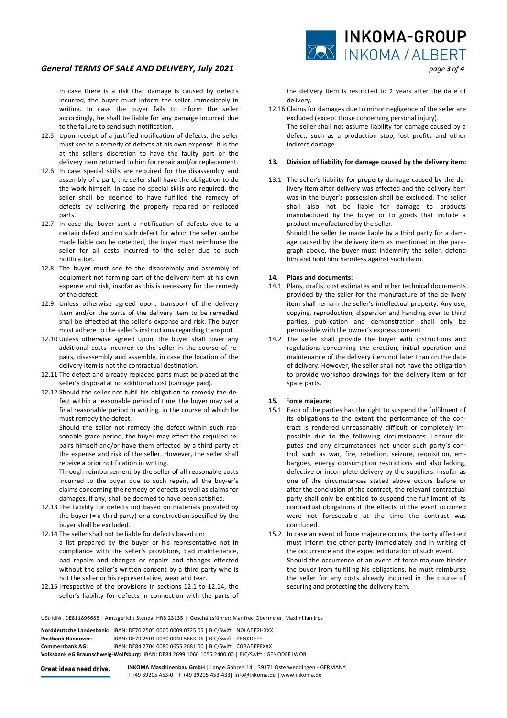# *General TERMS OF SALE AND DELIVERY, July 2021 page 3 of 4*

 In case there is a risk that damage is caused by defects incurred, the buyer must inform the seller immediately in writing. In case the buyer fails to inform the seller accordingly, he shall be liable for any damage incurred due to the failure to send such notification.

- 12.5 Upon receipt of a justified notification of defects, the seller must see to a remedy of defects at his own expense. It is the at the seller's discretion to have the faulty part or the delivery item returned to him for repair and/or replacement.
- 12.6 In case special skills are required for the disassembly and assembly of a part, the seller shall have the obligation to do the work himself. In case no special skills are required, the seller shall be deemed to have fulfilled the remedy of defects by delivering the properly repaired or replaced parts.
- 12.7 In case the buyer sent a notification of defects due to a certain defect and no such defect for which the seller can be made liable can be detected, the buyer must reimburse the seller for all costs incurred to the seller due to such notification.
- 12.8 The buyer must see to the disassembly and assembly of equipment not forming part of the delivery item at his own expense and risk, insofar as this is necessary for the remedy of the defect.
- 12.9 Unless otherwise agreed upon, transport of the delivery item and/or the parts of the delivery item to be remedied shall be effected at the seller's expense and risk. The buyer must adhere to the seller's instructions regarding transport.
- 12.10 Unless otherwise agreed upon, the buyer shall cover any additional costs incurred to the seller in the course of repairs, disassembly and assembly, in case the location of the delivery item is not the contractual destination.
- 12.11 The defect and already replaced parts must be placed at the seller's disposal at no additional cost (carriage paid).
- 12.12 Should the seller not fulfil his obligation to remedy the defect within a reasonable period of time, the buyer may set a final reasonable period in writing, in the course of which he must remedy the defect.

 Should the seller not remedy the defect within such reasonable grace period, the buyer may effect the required repairs himself and/or have them effected by a third party at the expense and risk of the seller. However, the seller shall receive a prior notification in writing.

 Through reimbursement by the seller of all reasonable costs incurred to the buyer due to such repair, all the buy-er's claims concerning the remedy of defects as well as claims for damages, if any, shall be deemed to have been satisfied.

- 12.13 The liability for defects not based on materials provided by the buyer (= a third party) or a construction specified by the buyer shall be excluded.
- 12.14 The seller shall not be liable for defects based on:
- a list prepared by the buyer or his representative not in compliance with the seller's provisions, bad maintenance, bad repairs and changes or repairs and changes effected without the seller's written consent by a third party who is not the seller or his representative, wear and tear.
- 12.15 Irrespective of the provisions in sections 12.1 to 12.14, the seller's liability for defects in connection with the parts of

the delivery item is restricted to 2 years after the date of delivery.

12.16 Claims for damages due to minor negligence of the seller are excluded (except those concerning personal injury). The seller shall not assume liability for damage caused by a defect, such as a production stop, lost profits and other indirect damage.

## **13. Division of liability for damage caused by the delivery item:**

13.1 The seller's liability for property damage caused by the delivery item after delivery was effected and the delivery item was in the buyer's possession shall be excluded. The seller shall also not be liable for damage to products manufactured by the buyer or to goods that include a product manufactured by the seller.

 Should the seller be made liable by a third party for a damage caused by the delivery item as mentioned in the paragraph above, the buyer must indemnify the seller, defend him and hold him harmless against such claim.

## **14. Plans and documents:**

- 14.1 Plans, drafts, cost estimates and other technical docu-ments provided by the seller for the manufacture of the de-livery item shall remain the seller's intellectual property. Any use, copying, reproduction, dispersion and handing over to third parties, publication and demonstration shall only be permissible with the owner's express consent
- 14.2 The seller shall provide the buyer with instructions and regulations concerning the erection, initial operation and maintenance of the delivery item not later than on the date of delivery. However, the seller shall not have the obliga-tion to provide workshop drawings for the delivery item or for spare parts.

## **15. Force majeure:**

- 15.1 Each of the parties has the right to suspend the fulfilment of its obligations to the extent the performance of the contract is rendered unreasonably difficult or completely impossible due to the following circumstances: Labour disputes and any circumstances not under such party's control, such as war, fire, rebellion, seizure, requisition, embargoes, energy consumption restrictions and also lacking, defective or incomplete delivery by the suppliers. Insofar as one of the circumstances stated above occurs before or after the conclusion of the contract, the relevant contractual party shall only be entitled to suspend the fulfilment of its contractual obligations if the effects of the event occurred were not foreseeable at the time the contract was concluded.
- 15.2 In case an event of force majeure occurs, the party affect-ed must inform the other party immediately and in writing of the occurrence and the expected duration of such event. Should the occurrence of an event of force majeure hinder the buyer from fulfilling his obligations, he must reimburse the seller for any costs already incurred in the course of securing and protecting the delivery item.

USt-IdNr. DE811896688 | Amtsgericht Stendal HRB 23135 | Geschäftsführer: Manfred Obermeier, Maximilian Irps

|                                                                                                  | Norddeutsche Landesbank: IBAN: DE70 2505 0000 0009 0725 05   BIC/Swift : NOLADE2HXXX |  |
|--------------------------------------------------------------------------------------------------|--------------------------------------------------------------------------------------|--|
| Postbank Hannover:                                                                               | IBAN: DE79 2501 0030 0040 5663 06   BIC/Swift: PBNKDEFF                              |  |
| Commerzbank AG:                                                                                  | IBAN: DE84 2704 0080 0655 2681 00   BIC/Swift: COBADEFFXXX                           |  |
| Volksbank eG Braunschweig-Wolfsburg: IBAN: DE84 2699 1066 1055 2400 00   BIC/Swift : GENODEF1WOB |                                                                                      |  |
|                                                                                                  |                                                                                      |  |

Great ideas need drive.